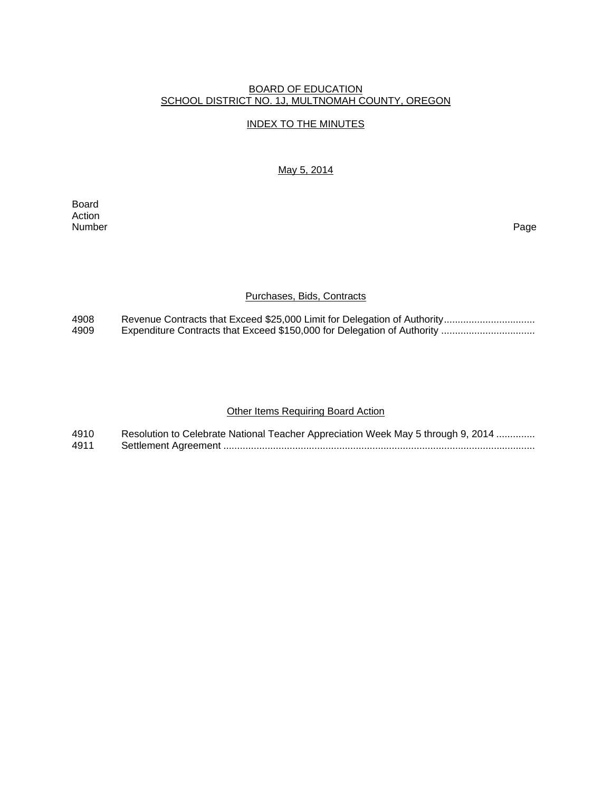#### BOARD OF EDUCATION SCHOOL DISTRICT NO. 1J, MULTNOMAH COUNTY, OREGON

### INDEX TO THE MINUTES

May 5, 2014

Board Action<br>Number Number Page

## Purchases, Bids, Contracts

4908 Revenue Contracts that Exceed \$25,000 Limit for Delegation of Authority................................. 4909 Expenditure Contracts that Exceed \$150,000 for Delegation of Authority .................................

### **Other Items Requiring Board Action**

| 4910 | Resolution to Celebrate National Teacher Appreciation Week May 5 through 9, 2014 |
|------|----------------------------------------------------------------------------------|
| 4911 |                                                                                  |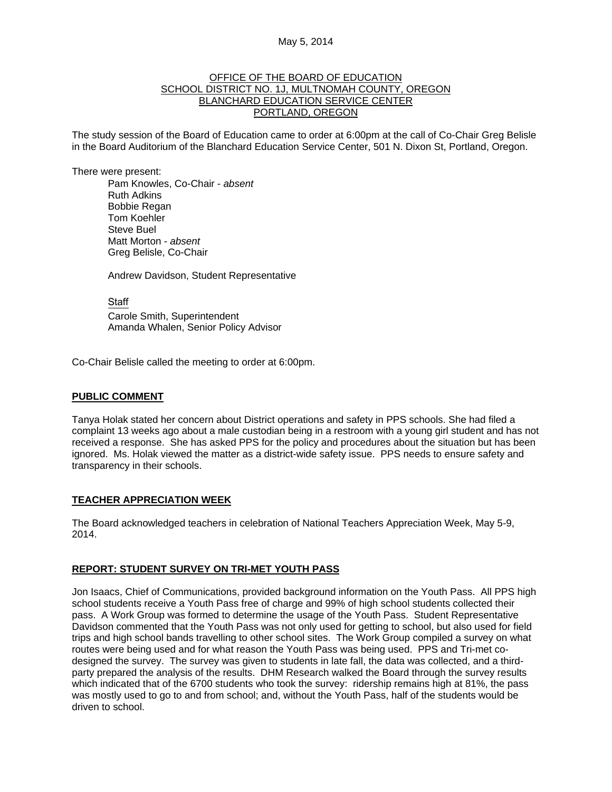#### OFFICE OF THE BOARD OF EDUCATION SCHOOL DISTRICT NO. 1J, MULTNOMAH COUNTY, OREGON BLANCHARD EDUCATION SERVICE CENTER PORTLAND, OREGON

The study session of the Board of Education came to order at 6:00pm at the call of Co-Chair Greg Belisle in the Board Auditorium of the Blanchard Education Service Center, 501 N. Dixon St, Portland, Oregon.

There were present: Pam Knowles, Co-Chair - *absent* Ruth Adkins Bobbie Regan Tom Koehler Steve Buel Matt Morton - *absent*  Greg Belisle, Co-Chair

Andrew Davidson, Student Representative

**Staff**  Carole Smith, Superintendent Amanda Whalen, Senior Policy Advisor

Co-Chair Belisle called the meeting to order at 6:00pm.

## **PUBLIC COMMENT**

Tanya Holak stated her concern about District operations and safety in PPS schools. She had filed a complaint 13 weeks ago about a male custodian being in a restroom with a young girl student and has not received a response. She has asked PPS for the policy and procedures about the situation but has been ignored. Ms. Holak viewed the matter as a district-wide safety issue. PPS needs to ensure safety and transparency in their schools.

# **TEACHER APPRECIATION WEEK**

The Board acknowledged teachers in celebration of National Teachers Appreciation Week, May 5-9, 2014.

# **REPORT: STUDENT SURVEY ON TRI-MET YOUTH PASS**

Jon Isaacs, Chief of Communications, provided background information on the Youth Pass. All PPS high school students receive a Youth Pass free of charge and 99% of high school students collected their pass. A Work Group was formed to determine the usage of the Youth Pass. Student Representative Davidson commented that the Youth Pass was not only used for getting to school, but also used for field trips and high school bands travelling to other school sites. The Work Group compiled a survey on what routes were being used and for what reason the Youth Pass was being used. PPS and Tri-met codesigned the survey. The survey was given to students in late fall, the data was collected, and a thirdparty prepared the analysis of the results. DHM Research walked the Board through the survey results which indicated that of the 6700 students who took the survey: ridership remains high at 81%, the pass was mostly used to go to and from school; and, without the Youth Pass, half of the students would be driven to school.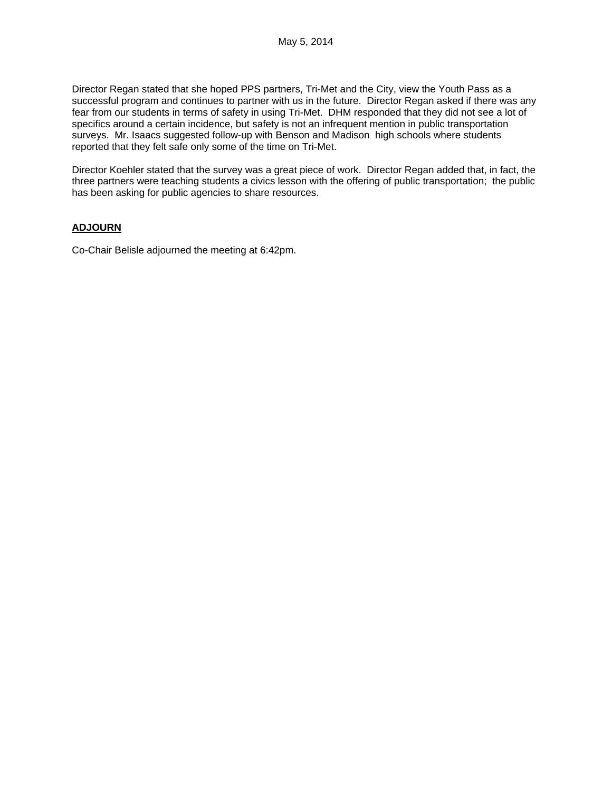Director Regan stated that she hoped PPS partners, Tri-Met and the City, view the Youth Pass as a successful program and continues to partner with us in the future. Director Regan asked if there was any fear from our students in terms of safety in using Tri-Met. DHM responded that they did not see a lot of specifics around a certain incidence, but safety is not an infrequent mention in public transportation surveys. Mr. Isaacs suggested follow-up with Benson and Madison high schools where students reported that they felt safe only some of the time on Tri-Met.

Director Koehler stated that the survey was a great piece of work. Director Regan added that, in fact, the three partners were teaching students a civics lesson with the offering of public transportation; the public has been asking for public agencies to share resources.

# **ADJOURN**

Co-Chair Belisle adjourned the meeting at 6:42pm.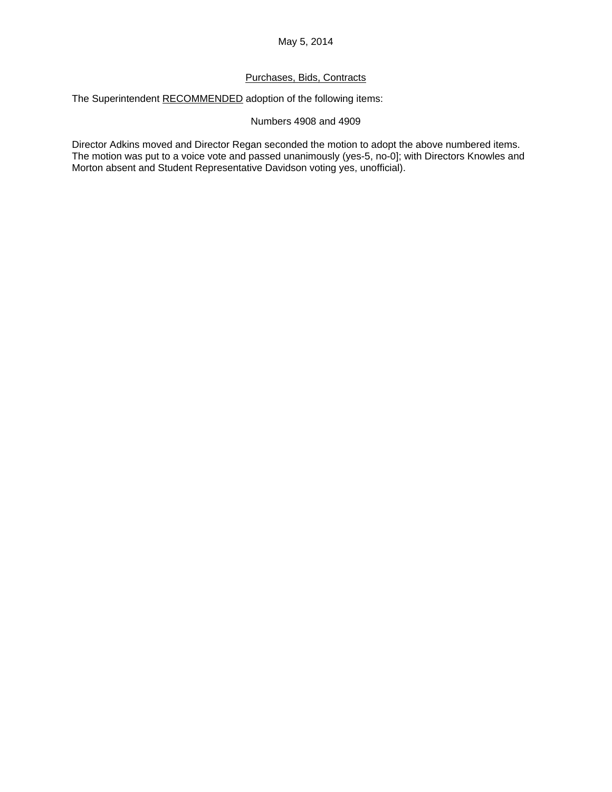# Purchases, Bids, Contracts

The Superintendent RECOMMENDED adoption of the following items:

Numbers 4908 and 4909

Director Adkins moved and Director Regan seconded the motion to adopt the above numbered items. The motion was put to a voice vote and passed unanimously (yes-5, no-0]; with Directors Knowles and Morton absent and Student Representative Davidson voting yes, unofficial).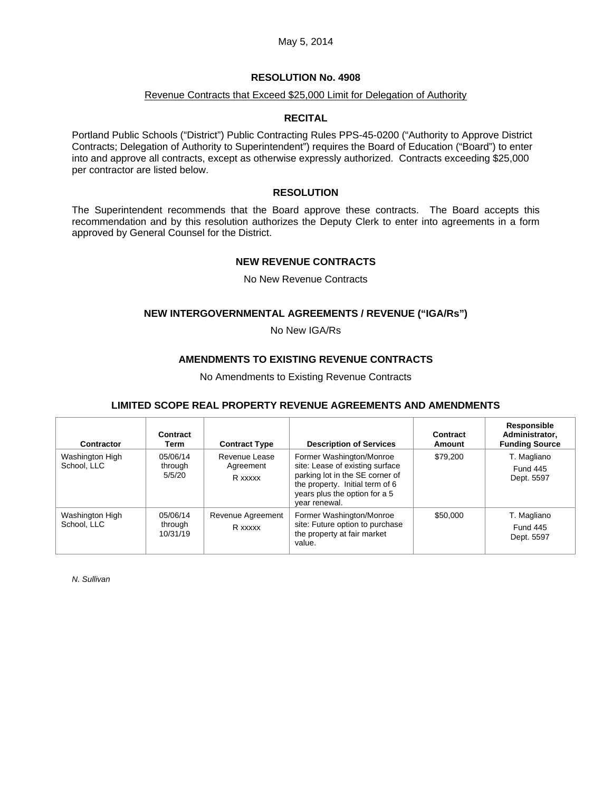#### May 5, 2014

### **RESOLUTION No. 4908**

#### Revenue Contracts that Exceed \$25,000 Limit for Delegation of Authority

#### **RECITAL**

Portland Public Schools ("District") Public Contracting Rules PPS-45-0200 ("Authority to Approve District Contracts; Delegation of Authority to Superintendent") requires the Board of Education ("Board") to enter into and approve all contracts, except as otherwise expressly authorized. Contracts exceeding \$25,000 per contractor are listed below.

### **RESOLUTION**

The Superintendent recommends that the Board approve these contracts. The Board accepts this recommendation and by this resolution authorizes the Deputy Clerk to enter into agreements in a form approved by General Counsel for the District.

#### **NEW REVENUE CONTRACTS**

No New Revenue Contracts

## **NEW INTERGOVERNMENTAL AGREEMENTS / REVENUE ("IGA/Rs")**

No New IGA/Rs

### **AMENDMENTS TO EXISTING REVENUE CONTRACTS**

No Amendments to Existing Revenue Contracts

# **LIMITED SCOPE REAL PROPERTY REVENUE AGREEMENTS AND AMENDMENTS**

| Contractor                     | Contract<br>Term                | <b>Contract Type</b>                  | <b>Description of Services</b>                                                                                                                                                      | Contract<br>Amount | <b>Responsible</b><br>Administrator,<br><b>Funding Source</b> |
|--------------------------------|---------------------------------|---------------------------------------|-------------------------------------------------------------------------------------------------------------------------------------------------------------------------------------|--------------------|---------------------------------------------------------------|
| Washington High<br>School, LLC | 05/06/14<br>through<br>5/5/20   | Revenue Lease<br>Agreement<br>R xxxxx | Former Washington/Monroe<br>site: Lease of existing surface<br>parking lot in the SE corner of<br>the property. Initial term of 6<br>years plus the option for a 5<br>vear renewal. | \$79,200           | T. Magliano<br><b>Fund 445</b><br>Dept. 5597                  |
| Washington High<br>School, LLC | 05/06/14<br>through<br>10/31/19 | Revenue Agreement<br>R xxxxx          | Former Washington/Monroe<br>site: Future option to purchase<br>the property at fair market<br>value.                                                                                | \$50,000           | T. Magliano<br><b>Fund 445</b><br>Dept. 5597                  |

*N. Sullivan*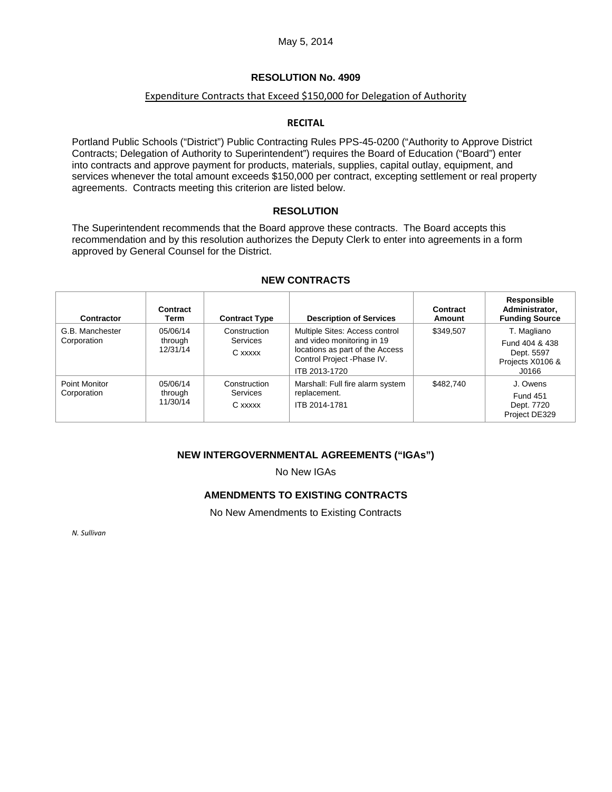## **RESOLUTION No. 4909**

# Expenditure Contracts that Exceed \$150,000 for Delegation of Authority

# **RECITAL**

Portland Public Schools ("District") Public Contracting Rules PPS-45-0200 ("Authority to Approve District Contracts; Delegation of Authority to Superintendent") requires the Board of Education ("Board") enter into contracts and approve payment for products, materials, supplies, capital outlay, equipment, and services whenever the total amount exceeds \$150,000 per contract, excepting settlement or real property agreements. Contracts meeting this criterion are listed below.

#### **RESOLUTION**

The Superintendent recommends that the Board approve these contracts. The Board accepts this recommendation and by this resolution authorizes the Deputy Clerk to enter into agreements in a form approved by General Counsel for the District.

| Contractor                     | Contract<br>Term                | <b>Contract Type</b>                | <b>Description of Services</b>                                                                                                                  | <b>Contract</b><br>Amount | Responsible<br>Administrator,<br><b>Funding Source</b>                   |
|--------------------------------|---------------------------------|-------------------------------------|-------------------------------------------------------------------------------------------------------------------------------------------------|---------------------------|--------------------------------------------------------------------------|
| G.B. Manchester<br>Corporation | 05/06/14<br>through<br>12/31/14 | Construction<br>Services<br>C xxxxx | Multiple Sites: Access control<br>and video monitoring in 19<br>locations as part of the Access<br>Control Project - Phase IV.<br>ITB 2013-1720 | \$349.507                 | T. Magliano<br>Fund 404 & 438<br>Dept. 5597<br>Projects X0106 &<br>J0166 |
| Point Monitor<br>Corporation   | 05/06/14<br>through<br>11/30/14 | Construction<br>Services<br>C xxxxx | Marshall: Full fire alarm system<br>replacement.<br>ITB 2014-1781                                                                               | \$482.740                 | J. Owens<br><b>Fund 451</b><br>Dept. 7720<br>Project DE329               |

#### **NEW CONTRACTS**

# **NEW INTERGOVERNMENTAL AGREEMENTS ("IGAs")**

No New IGAs

# **AMENDMENTS TO EXISTING CONTRACTS**

No New Amendments to Existing Contracts

*N. Sullivan*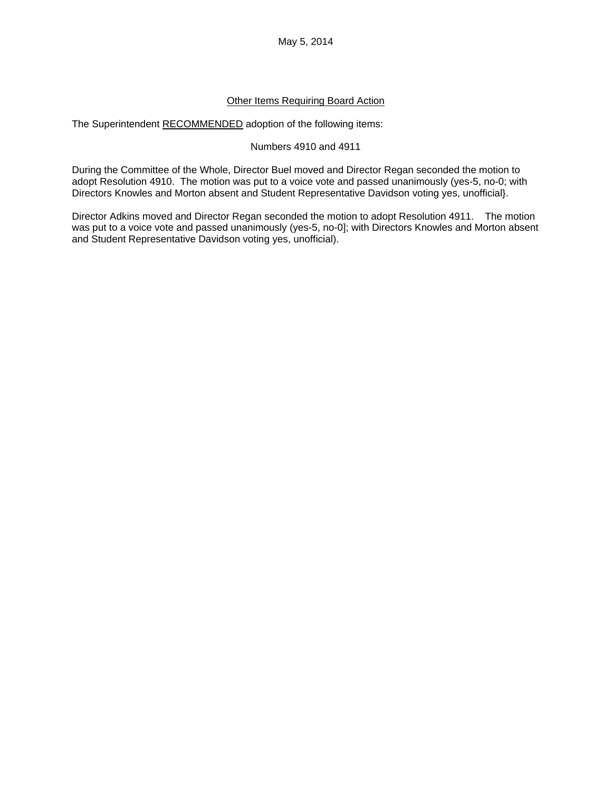May 5, 2014

### Other Items Requiring Board Action

The Superintendent RECOMMENDED adoption of the following items:

#### Numbers 4910 and 4911

During the Committee of the Whole, Director Buel moved and Director Regan seconded the motion to adopt Resolution 4910. The motion was put to a voice vote and passed unanimously (yes-5, no-0; with Directors Knowles and Morton absent and Student Representative Davidson voting yes, unofficial}.

Director Adkins moved and Director Regan seconded the motion to adopt Resolution 4911. The motion was put to a voice vote and passed unanimously (yes-5, no-0]; with Directors Knowles and Morton absent and Student Representative Davidson voting yes, unofficial).